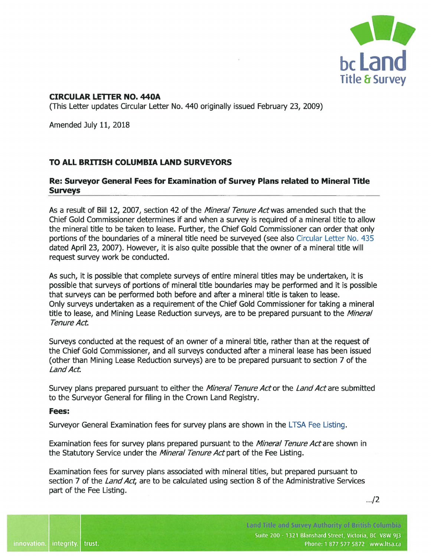

## **CIRCULAR LETTER NO. 440A**

(This Letter updates Circular Letter No. 440 originally issued February 23, 2009)

Amended July 11, 2018

## **TO ALL BRITISH COLUMBIA LAND SURVEYORS**

## **Re: Surveyor General Fees for Examination of Survey Plans related to Mineral Title Surveys**

As a result of Bill 12, 2007, section 42 of the Mineral Tenure Act was amended such that the Chief Gold Commissioner determines if and when a survey is required of a mineral title to allow the mineral title to be taken to lease. Further, the Chief Gold Commissioner can order that only portions of the boundaries of a mineral title need be surveyed (see also [Circular Letter No. 435](https://ltsa.ca/sites/default/files/CL%20435_Signed.pdf)  dated April 23, 2007). However, it is also quite possible that the owner of a mineral title will request survey work be conducted.

As such, it is possible that complete surveys of entire mineral titles may be undertaken, it is possible that surveys of portions of mineral title boundaries may be performed and it is possible that surveys can be performed both before and after a mineral title is taken to lease. Only surveys undertaken as a requirement of the Chief Gold Commissioner for taking a mineral title to lease, and Mining Lease Reduction surveys, are to be prepared pursuant to the *Mineral* Tenure Act

Surveys conducted at the request of an owner of a mineral title, rather than at the request of the Chief Gold Commissioner, and all surveys conducted after a mineral lease has been issued ( other than Mining Lease Reduction surveys) are to be prepared pursuant to section 7 of the Land Act

Survey plans prepared pursuant to either the *Mineral Tenure Act* or the *Land Act* are submitted to the Surveyor General for filing in the Crown Land Registry.

## **Fees:**

Surveyor General Examination fees for survey plans are shown in the [LTSA Fee Listing](https://ltsa.ca/fees).

Examination fees for survey plans prepared pursuant to the *Mineral Tenure Act* are shown in the Statutory Service under the Mineral Tenure Act part of the Fee Listing.

Examination fees for survey plans associated with mineral titles, but prepared pursuant to section 7 of the *Land Act*, are to be calculated using section 8 of the Administrative Services part of the Fee Listing.

 $-.12$